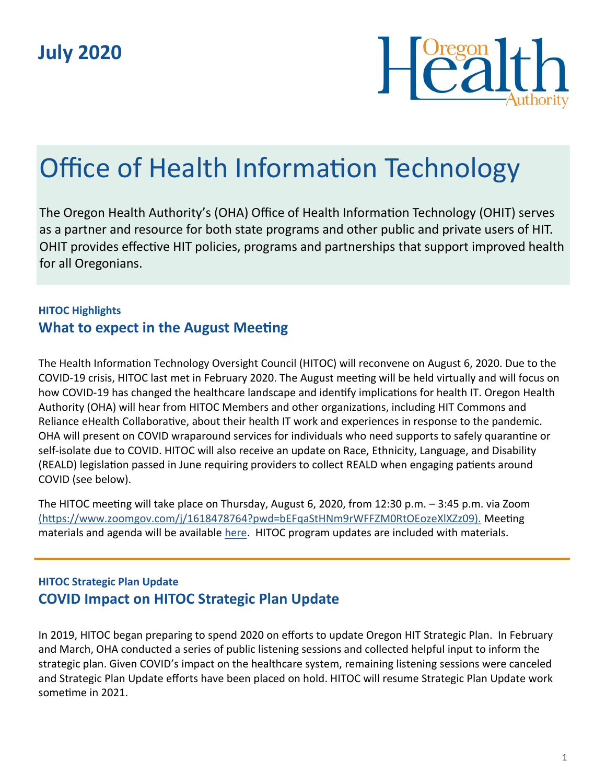

# Office of Health Information Technology

The Oregon Health Authority's (OHA) Office of Health Information Technology (OHIT) serves as a partner and resource for both state programs and other public and private users of HIT. OHIT provides effective HIT policies, programs and partnerships that support improved health for all Oregonians.

### **HITOC Highlights What to expect in the August Meeting**

The Health Information Technology Oversight Council (HITOC) will reconvene on August 6, 2020. Due to the COVID-19 crisis, HITOC last met in February 2020. The August meeting will be held virtually and will focus on how COVID-19 has changed the healthcare landscape and identify implications for health IT. Oregon Health Authority (OHA) will hear from HITOC Members and other organizations, including HIT Commons and Reliance eHealth Collaborative, about their health IT work and experiences in response to the pandemic. OHA will present on COVID wraparound services for individuals who need supports to safely quarantine or self-isolate due to COVID. HITOC will also receive an update on Race, Ethnicity, Language, and Disability (REALD) legislation passed in June requiring providers to collect REALD when engaging patients around COVID (see below).

The HITOC meeting will take place on Thursday, August 6, 2020, from 12:30 p.m. – 3:45 p.m. via Zoom [\(https://www.zoomgov.com/j/1618478764?pwd=bEFqaStHNm9rWFFZM0RtOEozeXlXZz09\).]((https:/www.zoomgov.com/j/1618478764?pwd=bEFqaStHNm9rWFFZM0RtOEozeXlXZz09).) Meeting materials and agenda will be available [here.](https://www.oregon.gov/oha/HPA/OHIT-HITOC/Pages/HITOC-Meetings.aspx) HITOC program updates are included with materials.

#### **HITOC Strategic Plan Update COVID Impact on HITOC Strategic Plan Update**

In 2019, HITOC began preparing to spend 2020 on efforts to update Oregon HIT Strategic Plan. In February and March, OHA conducted a series of public listening sessions and collected helpful input to inform the strategic plan. Given COVID's impact on the healthcare system, remaining listening sessions were canceled and Strategic Plan Update efforts have been placed on hold. HITOC will resume Strategic Plan Update work sometime in 2021.